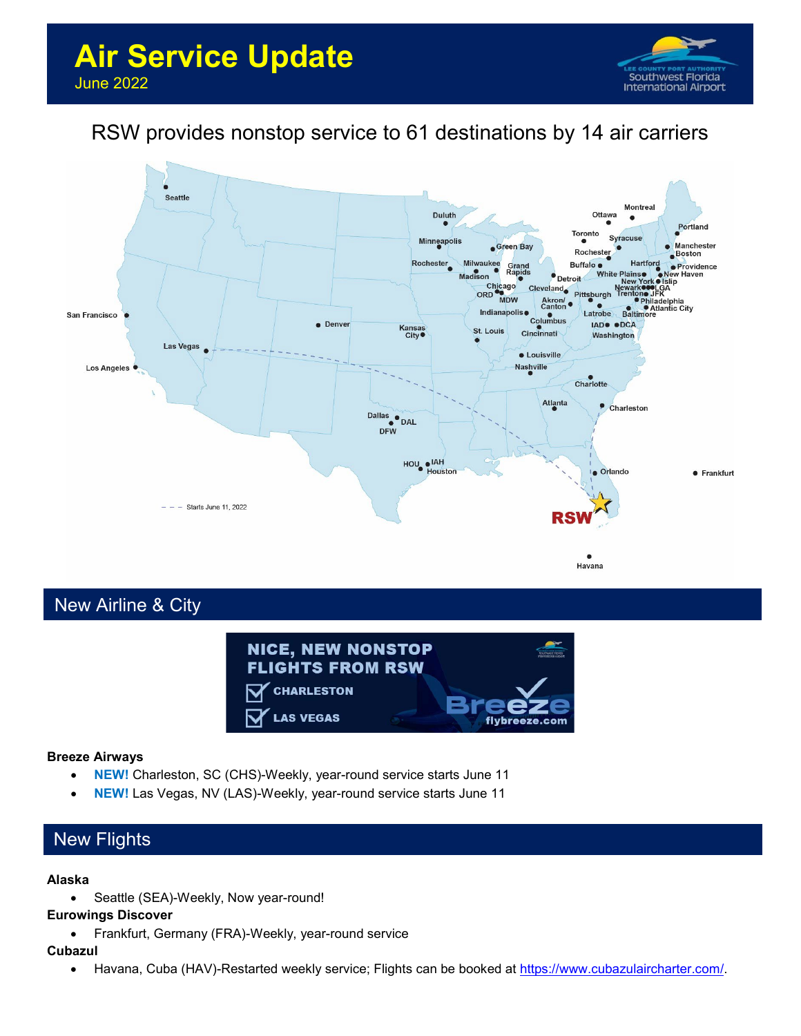

# RSW provides nonstop service to 61 destinations by 14 air carriers



## New Airline & City



### **Breeze Airways**

- **NEW!** Charleston, SC (CHS)-Weekly, year-round service starts June 11
- **NEW!** Las Vegas, NV (LAS)-Weekly, year-round service starts June 11

## New Flights

#### **Alaska**

• Seattle (SEA)-Weekly, Now year-round!

### **Eurowings Discover**

• Frankfurt, Germany (FRA)-Weekly, year-round service

### **Cubazul**

• Havana, Cuba (HAV)-Restarted weekly service; Flights can be booked at [https://www.cubazulaircharter.com/.](https://www.cubazulaircharter.com/)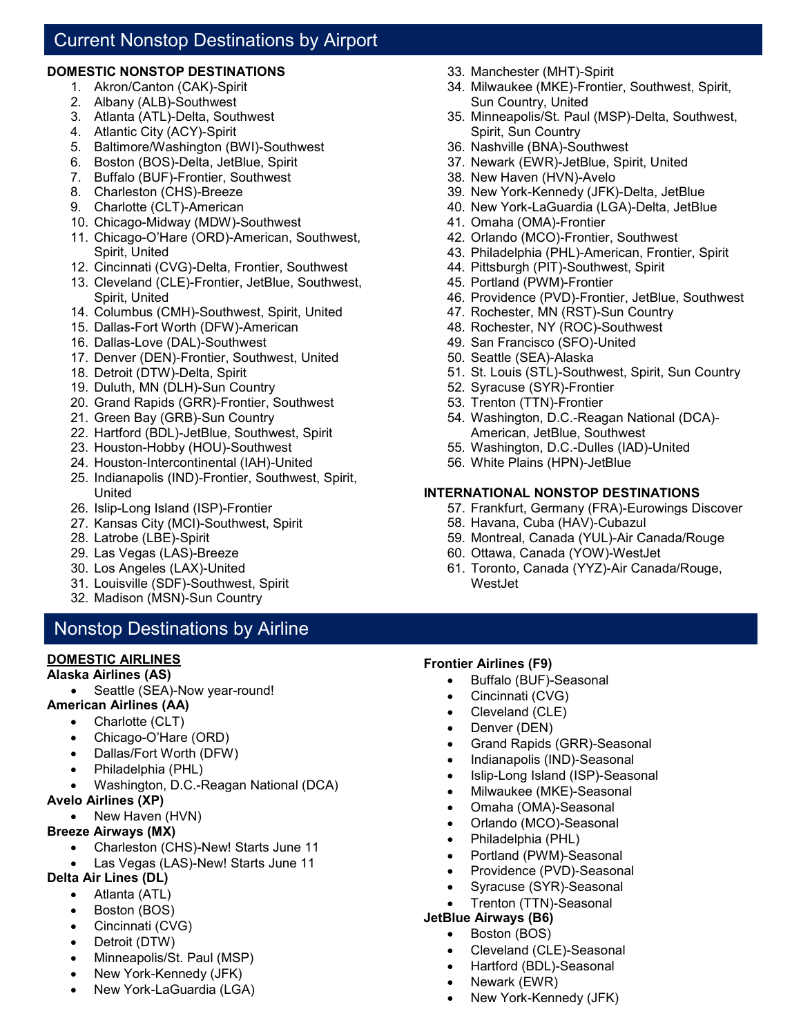## Current Nonstop Destinations by Airport

### **DOMESTIC NONSTOP DESTINATIONS**

- 1. Akron/Canton (CAK)-Spirit
- 2. Albany (ALB)-Southwest
- 3. Atlanta (ATL)-Delta, Southwest
- 4. Atlantic City (ACY)-Spirit
- 5. Baltimore/Washington (BWI)-Southwest
- 6. Boston (BOS)-Delta, JetBlue, Spirit
- 7. Buffalo (BUF)-Frontier, Southwest
- 8. Charleston (CHS)-Breeze
- 9. Charlotte (CLT)-American
- 10. Chicago-Midway (MDW)-Southwest
- 11. Chicago-O'Hare (ORD)-American, Southwest, Spirit, United
- 12. Cincinnati (CVG)-Delta, Frontier, Southwest
- 13. Cleveland (CLE)-Frontier, JetBlue, Southwest, Spirit, United
- 14. Columbus (CMH)-Southwest, Spirit, United
- 15. Dallas-Fort Worth (DFW)-American
- 16. Dallas-Love (DAL)-Southwest
- 17. Denver (DEN)-Frontier, Southwest, United
- 18. Detroit (DTW)-Delta, Spirit
- 19. Duluth, MN (DLH)-Sun Country
- 20. Grand Rapids (GRR)-Frontier, Southwest
- 21. Green Bay (GRB)-Sun Country
- 22. Hartford (BDL)-JetBlue, Southwest, Spirit
- 23. Houston-Hobby (HOU)-Southwest
- 24. Houston-Intercontinental (IAH)-United
- 25. Indianapolis (IND)-Frontier, Southwest, Spirit, United
- 26. Islip-Long Island (ISP)-Frontier
- 27. Kansas City (MCI)-Southwest, Spirit
- 28. Latrobe (LBE)-Spirit
- 29. Las Vegas (LAS)-Breeze
- 30. Los Angeles (LAX)-United
- 31. Louisville (SDF)-Southwest, Spirit
- 32. Madison (MSN)-Sun Country

## Nonstop Destinations by Airline

## **DOMESTIC AIRLINES**

## **Alaska Airlines (AS)**

- Seattle (SEA)-Now year-round!
- **American Airlines (AA)** 
	- Charlotte (CLT)
	- Chicago-O'Hare (ORD)
	- Dallas/Fort Worth (DFW)
	- Philadelphia (PHL)
	- Washington, D.C.-Reagan National (DCA)
- **Avelo Airlines (XP)**
	- New Haven (HVN)

## **Breeze Airways (MX)**

- Charleston (CHS)-New! Starts June 11
- Las Vegas (LAS)-New! Starts June 11
- **Delta Air Lines (DL)**
	- Atlanta (ATL)
	- Boston (BOS)
	- Cincinnati (CVG)
	- Detroit (DTW)
	- Minneapolis/St. Paul (MSP)
	- New York-Kennedy (JFK)
	- New York-LaGuardia (LGA)
- 33. Manchester (MHT)-Spirit
- 34. Milwaukee (MKE)-Frontier, Southwest, Spirit, Sun Country, United
- 35. Minneapolis/St. Paul (MSP)-Delta, Southwest, Spirit, Sun Country
- 36. Nashville (BNA)-Southwest
- 37. Newark (EWR)-JetBlue, Spirit, United
- 38. New Haven (HVN)-Avelo
- 39. New York-Kennedy (JFK)-Delta, JetBlue
- 40. New York-LaGuardia (LGA)-Delta, JetBlue
- 41. Omaha (OMA)-Frontier
- 42. Orlando (MCO)-Frontier, Southwest
- 43. Philadelphia (PHL)-American, Frontier, Spirit
- 44. Pittsburgh (PIT)-Southwest, Spirit
- 45. Portland (PWM)-Frontier
- 46. Providence (PVD)-Frontier, JetBlue, Southwest
- 47. Rochester, MN (RST)-Sun Country
- 48. Rochester, NY (ROC)-Southwest
- 49. San Francisco (SFO)-United
- 50. Seattle (SEA)-Alaska
- 51. St. Louis (STL)-Southwest, Spirit, Sun Country
- 52. Syracuse (SYR)-Frontier
- 53. Trenton (TTN)-Frontier
- 54. Washington, D.C.-Reagan National (DCA)- American, JetBlue, Southwest
- 55. Washington, D.C.-Dulles (IAD)-United
- 56. White Plains (HPN)-JetBlue

## **INTERNATIONAL NONSTOP DESTINATIONS**

- 57. Frankfurt, Germany (FRA)-Eurowings Discover
- 58. Havana, Cuba (HAV)-Cubazul
- 59. Montreal, Canada (YUL)-Air Canada/Rouge
- 60. Ottawa, Canada (YOW)-WestJet
- 61. Toronto, Canada (YYZ)-Air Canada/Rouge, WestJet

### **Frontier Airlines (F9)**

- Buffalo (BUF)-Seasonal
- Cincinnati (CVG)
- Cleveland (CLE)
- Denver (DEN)
- Grand Rapids (GRR)-Seasonal
- Indianapolis (IND)-Seasonal
- Islip-Long Island (ISP)-Seasonal
- Milwaukee (MKE)-Seasonal
- Omaha (OMA)-Seasonal
- Orlando (MCO)-Seasonal
- Philadelphia (PHL)

**JetBlue Airways (B6)** • Boston (BOS)

• Newark (EWR)

• Portland (PWM)-Seasonal • Providence (PVD)-Seasonal

• Cleveland (CLE)-Seasonal • Hartford (BDL)-Seasonal

• New York-Kennedy (JFK)

• Syracuse (SYR)-Seasonal • Trenton (TTN)-Seasonal